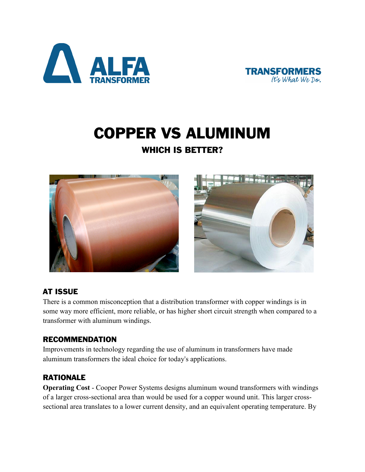



# COPPER VS ALUMINUM

# WHICH IS BETTER?



# AT ISSUE

There is a common misconception that a distribution transformer with copper windings is in some way more efficient, more reliable, or has higher short circuit strength when compared to a transformer with aluminum windings.

#### RECOMMENDATION

Improvements in technology regarding the use of aluminum in transformers have made aluminum transformers the ideal choice for today's applications.

# **RATIONALE**

**Operating Cost** - Cooper Power Systems designs aluminum wound transformers with windings of a larger cross-sectional area than would be used for a copper wound unit. This larger crosssectional area translates to a lower current density, and an equivalent operating temperature. By